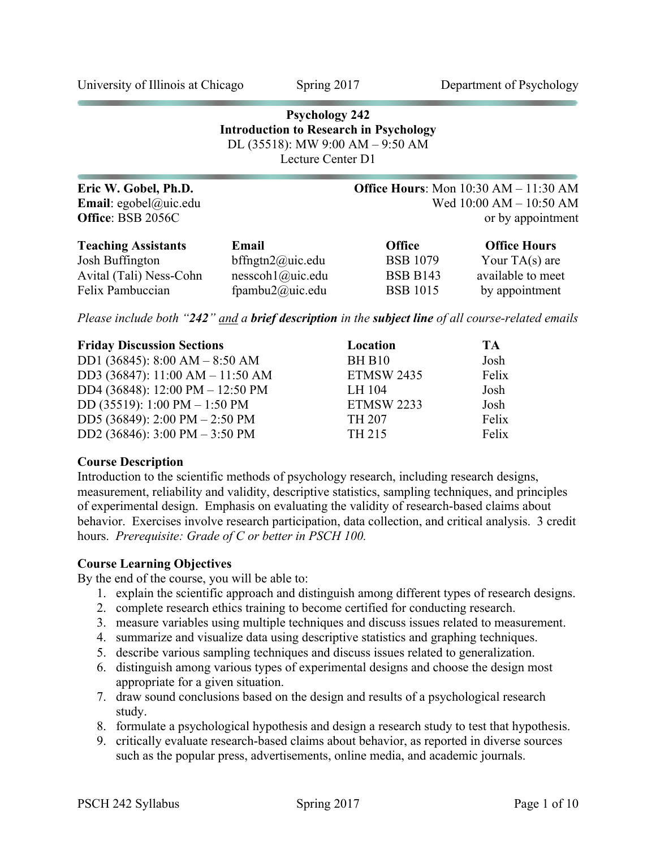University of Illinois at Chicago Spring 2017 Department of Psychology

# **Psychology 242 Introduction to Research in Psychology** DL (35518): MW 9:00 AM – 9:50 AM Lecture Center D1

| Eric W. Gobel, Ph.D.          |                      |                 | <b>Office Hours:</b> Mon $10:30$ AM $- 11:30$ AM |
|-------------------------------|----------------------|-----------------|--------------------------------------------------|
| <b>Email</b> : egobel@uic.edu |                      |                 | Wed 10:00 AM - 10:50 AM                          |
| Office: BSB 2056C             |                      |                 | or by appointment                                |
| <b>Teaching Assistants</b>    | Email                | <b>Office</b>   | <b>Office Hours</b>                              |
| Josh Buffington               | bffngtn $2$ @uic.edu | <b>BSB 1079</b> | Your $TA(s)$ are                                 |
| Avital (Tali) Ness-Cohn       | nesscoh1@uic.edu     | <b>BSB B143</b> | available to meet                                |
| Felix Pambuccian              | fpambu2@uic.edu      | <b>BSB 1015</b> | by appointment                                   |

*Please include both "242" and a brief description in the subject line of all course-related emails*

| <b>Friday Discussion Sections</b>                | Location          | TA    |
|--------------------------------------------------|-------------------|-------|
| DD1 (36845): $8:00 AM - 8:50 AM$                 | <b>BH B10</b>     | Josh  |
| DD3 (36847): 11:00 AM - 11:50 AM                 | <b>ETMSW 2435</b> | Felix |
| DD4 (36848): 12:00 PM - 12:50 PM                 | LH 104            | Josh  |
| DD (35519): 1:00 PM $-$ 1:50 PM                  | <b>ETMSW 2233</b> | Josh  |
| DD5 (36849): 2:00 PM $-$ 2:50 PM                 | <b>TH 207</b>     | Felix |
| DD2 (36846): $3:00 \text{ PM} - 3:50 \text{ PM}$ | TH 215            | Felix |

#### **Course Description**

Introduction to the scientific methods of psychology research, including research designs, measurement, reliability and validity, descriptive statistics, sampling techniques, and principles of experimental design. Emphasis on evaluating the validity of research-based claims about behavior. Exercises involve research participation, data collection, and critical analysis. 3 credit hours. *Prerequisite: Grade of C or better in PSCH 100.*

#### **Course Learning Objectives**

By the end of the course, you will be able to:

- 1. explain the scientific approach and distinguish among different types of research designs.
- 2. complete research ethics training to become certified for conducting research.
- 3. measure variables using multiple techniques and discuss issues related to measurement.
- 4. summarize and visualize data using descriptive statistics and graphing techniques.
- 5. describe various sampling techniques and discuss issues related to generalization.
- 6. distinguish among various types of experimental designs and choose the design most appropriate for a given situation.
- 7. draw sound conclusions based on the design and results of a psychological research study.
- 8. formulate a psychological hypothesis and design a research study to test that hypothesis.
- 9. critically evaluate research-based claims about behavior, as reported in diverse sources such as the popular press, advertisements, online media, and academic journals.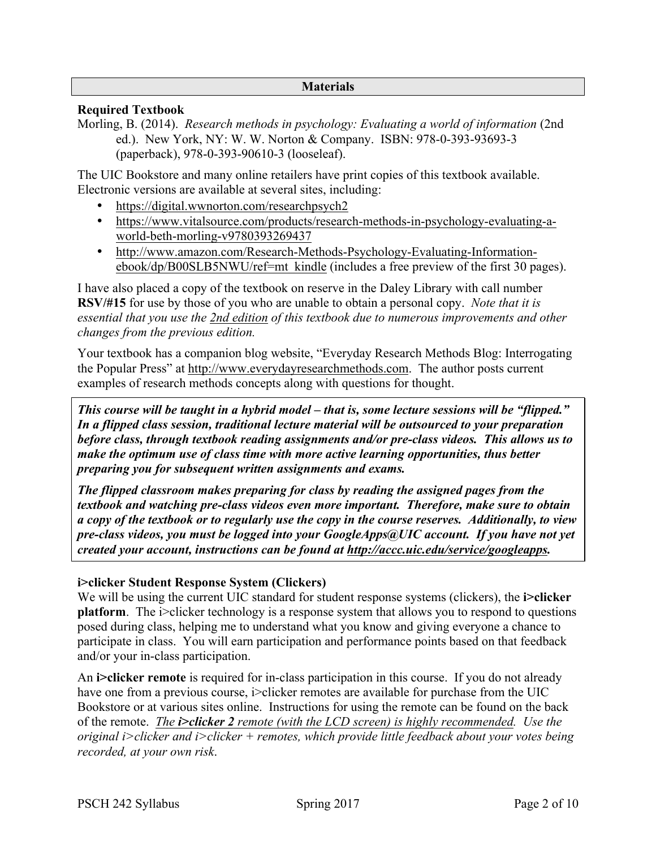### **Materials**

# **Required Textbook**

Morling, B. (2014). *Research methods in psychology: Evaluating a world of information* (2nd ed.). New York, NY: W. W. Norton & Company. ISBN: 978-0-393-93693-3 (paperback), 978-0-393-90610-3 (looseleaf).

The UIC Bookstore and many online retailers have print copies of this textbook available. Electronic versions are available at several sites, including:

- https://digital.wwnorton.com/researchpsych2
- https://www.vitalsource.com/products/research-methods-in-psychology-evaluating-aworld-beth-morling-v9780393269437
- http://www.amazon.com/Research-Methods-Psychology-Evaluating-Informationebook/dp/B00SLB5NWU/ref=mt\_kindle (includes a free preview of the first 30 pages).

I have also placed a copy of the textbook on reserve in the Daley Library with call number **RSV/#15** for use by those of you who are unable to obtain a personal copy. *Note that it is essential that you use the 2nd edition of this textbook due to numerous improvements and other changes from the previous edition.*

Your textbook has a companion blog website, "Everyday Research Methods Blog: Interrogating the Popular Press" at http://www.everydayresearchmethods.com. The author posts current examples of research methods concepts along with questions for thought.

*This course will be taught in a hybrid model – that is, some lecture sessions will be "flipped." In a flipped class session, traditional lecture material will be outsourced to your preparation before class, through textbook reading assignments and/or pre-class videos. This allows us to make the optimum use of class time with more active learning opportunities, thus better preparing you for subsequent written assignments and exams.*

*The flipped classroom makes preparing for class by reading the assigned pages from the textbook and watching pre-class videos even more important. Therefore, make sure to obtain a copy of the textbook or to regularly use the copy in the course reserves. Additionally, to view pre-class videos, you must be logged into your GoogleApps@UIC account. If you have not yet created your account, instructions can be found at http://accc.uic.edu/service/googleapps.*

#### **i>clicker Student Response System (Clickers)**

We will be using the current UIC standard for student response systems (clickers), the **i>clicker platform**. The i>clicker technology is a response system that allows you to respond to questions posed during class, helping me to understand what you know and giving everyone a chance to participate in class. You will earn participation and performance points based on that feedback and/or your in-class participation.

An **i>clicker remote** is required for in-class participation in this course. If you do not already have one from a previous course, i>clicker remotes are available for purchase from the UIC Bookstore or at various sites online. Instructions for using the remote can be found on the back of the remote. *The i>clicker 2 remote (with the LCD screen) is highly recommended. Use the original i>clicker and i>clicker + remotes, which provide little feedback about your votes being recorded, at your own risk*.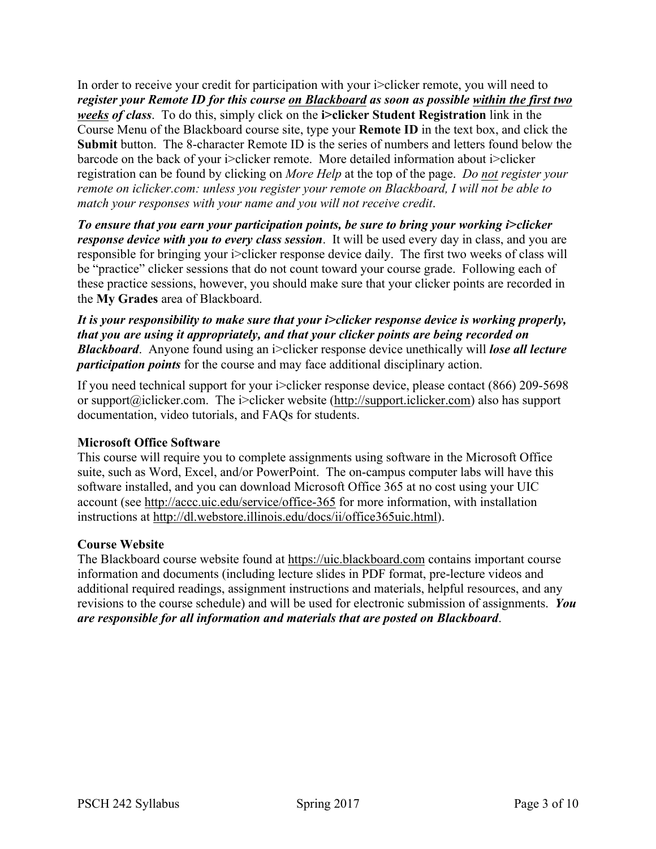In order to receive your credit for participation with your i>clicker remote, you will need to *register your Remote ID for this course on Blackboard as soon as possible within the first two weeks of class*. To do this, simply click on the **i>clicker Student Registration** link in the Course Menu of the Blackboard course site, type your **Remote ID** in the text box, and click the **Submit** button. The 8-character Remote ID is the series of numbers and letters found below the barcode on the back of your i>clicker remote. More detailed information about i>clicker registration can be found by clicking on *More Help* at the top of the page. *Do not register your remote on iclicker.com: unless you register your remote on Blackboard, I will not be able to match your responses with your name and you will not receive credit*.

*To ensure that you earn your participation points, be sure to bring your working i>clicker response device with you to every class session*. It will be used every day in class, and you are responsible for bringing your i>clicker response device daily. The first two weeks of class will be "practice" clicker sessions that do not count toward your course grade. Following each of these practice sessions, however, you should make sure that your clicker points are recorded in the **My Grades** area of Blackboard.

*It is your responsibility to make sure that your i>clicker response device is working properly, that you are using it appropriately, and that your clicker points are being recorded on Blackboard*. Anyone found using an i>clicker response device unethically will *lose all lecture participation points* for the course and may face additional disciplinary action.

If you need technical support for your i>clicker response device, please contact (866) 209-5698 or support@iclicker.com. The i>clicker website (http://support.iclicker.com) also has support documentation, video tutorials, and FAQs for students.

# **Microsoft Office Software**

This course will require you to complete assignments using software in the Microsoft Office suite, such as Word, Excel, and/or PowerPoint. The on-campus computer labs will have this software installed, and you can download Microsoft Office 365 at no cost using your UIC account (see http://accc.uic.edu/service/office-365 for more information, with installation instructions at http://dl.webstore.illinois.edu/docs/ii/office365uic.html).

#### **Course Website**

The Blackboard course website found at https://uic.blackboard.com contains important course information and documents (including lecture slides in PDF format, pre-lecture videos and additional required readings, assignment instructions and materials, helpful resources, and any revisions to the course schedule) and will be used for electronic submission of assignments. *You are responsible for all information and materials that are posted on Blackboard*.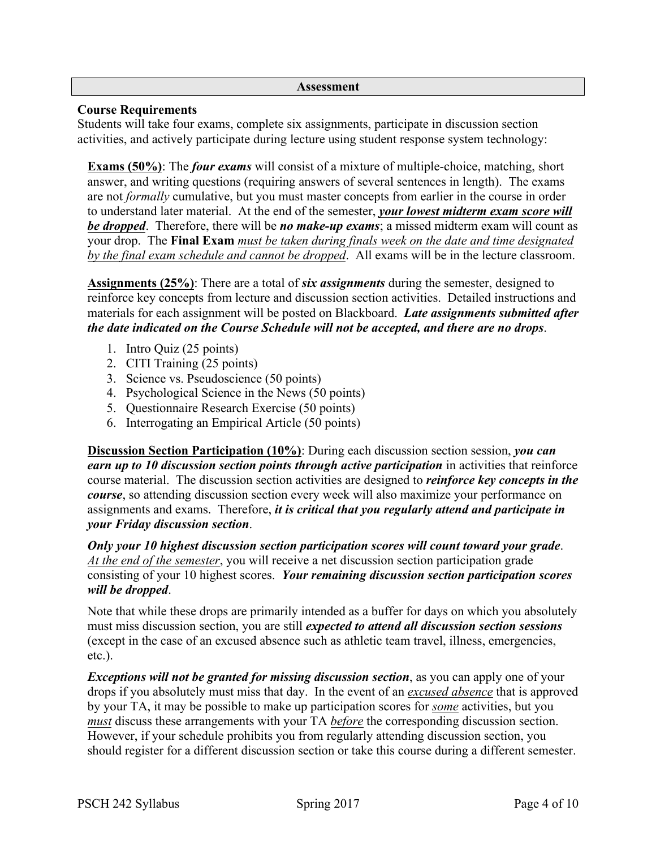#### **Assessment**

### **Course Requirements**

Students will take four exams, complete six assignments, participate in discussion section activities, and actively participate during lecture using student response system technology:

**Exams (50%)**: The *four exams* will consist of a mixture of multiple-choice, matching, short answer, and writing questions (requiring answers of several sentences in length). The exams are not *formally* cumulative, but you must master concepts from earlier in the course in order to understand later material. At the end of the semester, *your lowest midterm exam score will be dropped*. Therefore, there will be *no make-up exams*; a missed midterm exam will count as your drop. The **Final Exam** *must be taken during finals week on the date and time designated by the final exam schedule and cannot be dropped*. All exams will be in the lecture classroom.

**Assignments (25%)**: There are a total of *six assignments* during the semester, designed to reinforce key concepts from lecture and discussion section activities. Detailed instructions and materials for each assignment will be posted on Blackboard. *Late assignments submitted after the date indicated on the Course Schedule will not be accepted, and there are no drops*.

- 1. Intro Quiz (25 points)
- 2. CITI Training (25 points)
- 3. Science vs. Pseudoscience (50 points)
- 4. Psychological Science in the News (50 points)
- 5. Questionnaire Research Exercise (50 points)
- 6. Interrogating an Empirical Article (50 points)

**Discussion Section Participation (10%)**: During each discussion section session, *you can earn up to 10 discussion section points through active participation* in activities that reinforce course material. The discussion section activities are designed to *reinforce key concepts in the course*, so attending discussion section every week will also maximize your performance on assignments and exams. Therefore, *it is critical that you regularly attend and participate in your Friday discussion section*.

*Only your 10 highest discussion section participation scores will count toward your grade*. *At the end of the semester*, you will receive a net discussion section participation grade consisting of your 10 highest scores. *Your remaining discussion section participation scores will be dropped*.

Note that while these drops are primarily intended as a buffer for days on which you absolutely must miss discussion section, you are still *expected to attend all discussion section sessions* (except in the case of an excused absence such as athletic team travel, illness, emergencies, etc.).

*Exceptions will not be granted for missing discussion section*, as you can apply one of your drops if you absolutely must miss that day. In the event of an *excused absence* that is approved by your TA, it may be possible to make up participation scores for *some* activities, but you *must* discuss these arrangements with your TA *before* the corresponding discussion section. However, if your schedule prohibits you from regularly attending discussion section, you should register for a different discussion section or take this course during a different semester.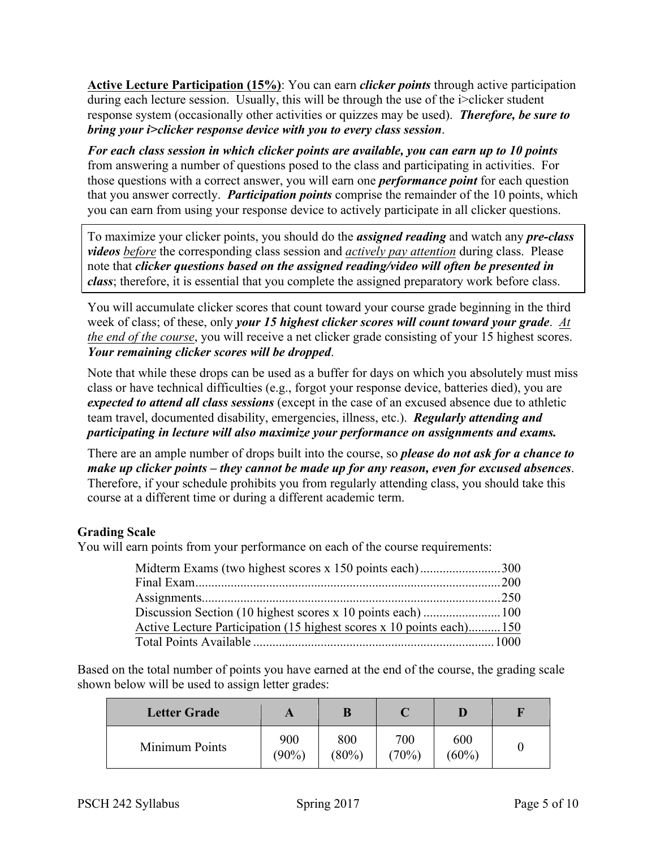**Active Lecture Participation (15%)**: You can earn *clicker points* through active participation during each lecture session. Usually, this will be through the use of the i>clicker student response system (occasionally other activities or quizzes may be used). *Therefore, be sure to bring your i>clicker response device with you to every class session*.

*For each class session in which clicker points are available, you can earn up to 10 points* from answering a number of questions posed to the class and participating in activities. For those questions with a correct answer, you will earn one *performance point* for each question that you answer correctly. *Participation points* comprise the remainder of the 10 points, which you can earn from using your response device to actively participate in all clicker questions.

To maximize your clicker points, you should do the *assigned reading* and watch any *pre-class videos before* the corresponding class session and *actively pay attention* during class. Please note that *clicker questions based on the assigned reading/video will often be presented in class*; therefore, it is essential that you complete the assigned preparatory work before class.

You will accumulate clicker scores that count toward your course grade beginning in the third week of class; of these, only *your 15 highest clicker scores will count toward your grade*. *At the end of the course*, you will receive a net clicker grade consisting of your 15 highest scores. *Your remaining clicker scores will be dropped*.

Note that while these drops can be used as a buffer for days on which you absolutely must miss class or have technical difficulties (e.g., forgot your response device, batteries died), you are *expected to attend all class sessions* (except in the case of an excused absence due to athletic team travel, documented disability, emergencies, illness, etc.). *Regularly attending and participating in lecture will also maximize your performance on assignments and exams.*

There are an ample number of drops built into the course, so *please do not ask for a chance to make up clicker points – they cannot be made up for any reason, even for excused absences*. Therefore, if your schedule prohibits you from regularly attending class, you should take this course at a different time or during a different academic term.

# **Grading Scale**

You will earn points from your performance on each of the course requirements:

| Midterm Exams (two highest scores x 150 points each)300              |  |
|----------------------------------------------------------------------|--|
|                                                                      |  |
|                                                                      |  |
|                                                                      |  |
| Active Lecture Participation (15 highest scores x 10 points each)150 |  |
|                                                                      |  |

Based on the total number of points you have earned at the end of the course, the grading scale shown below will be used to assign letter grades:

| <b>Letter Grade</b> |                 | B               |              |                 |  |
|---------------------|-----------------|-----------------|--------------|-----------------|--|
| Minimum Points      | 900<br>$(90\%)$ | 800<br>$(80\%)$ | 700<br>(70%) | 600<br>$(60\%)$ |  |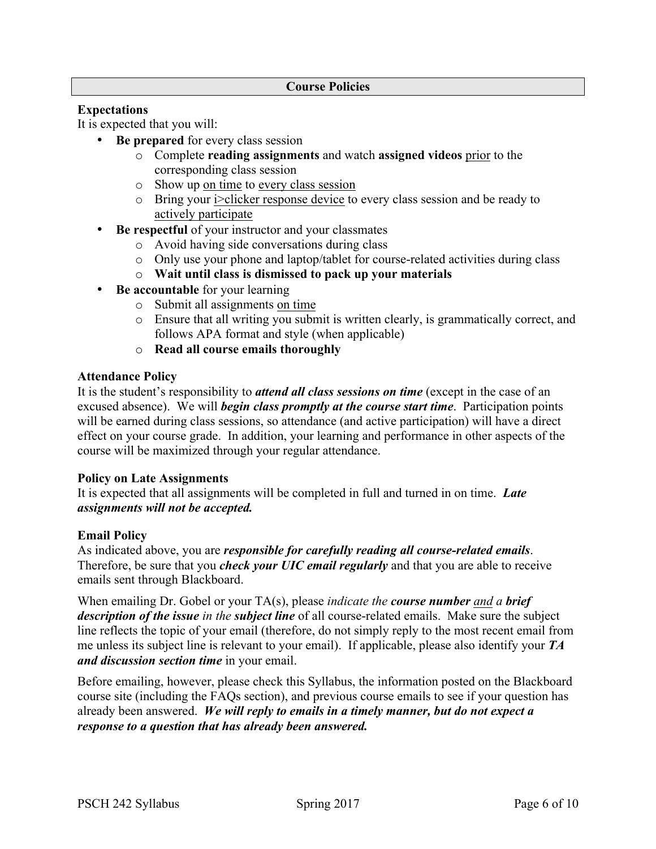#### **Course Policies**

### **Expectations**

It is expected that you will:

- **Be prepared** for every class session
	- o Complete **reading assignments** and watch **assigned videos** prior to the corresponding class session
	- o Show up on time to every class session
	- o Bring your i>clicker response device to every class session and be ready to actively participate
- **Be respectful** of your instructor and your classmates
	- o Avoid having side conversations during class
	- o Only use your phone and laptop/tablet for course-related activities during class
	- o **Wait until class is dismissed to pack up your materials**
- **Be accountable** for your learning
	- o Submit all assignments on time
	- o Ensure that all writing you submit is written clearly, is grammatically correct, and follows APA format and style (when applicable)
	- o **Read all course emails thoroughly**

#### **Attendance Policy**

It is the student's responsibility to *attend all class sessions on time* (except in the case of an excused absence). We will *begin class promptly at the course start time*. Participation points will be earned during class sessions, so attendance (and active participation) will have a direct effect on your course grade. In addition, your learning and performance in other aspects of the course will be maximized through your regular attendance.

#### **Policy on Late Assignments**

It is expected that all assignments will be completed in full and turned in on time. *Late assignments will not be accepted.*

#### **Email Policy**

As indicated above, you are *responsible for carefully reading all course-related emails*. Therefore, be sure that you *check your UIC email regularly* and that you are able to receive emails sent through Blackboard.

When emailing Dr. Gobel or your TA(s), please *indicate the course number and a brief description of the issue in the subject line* of all course-related emails. Make sure the subject line reflects the topic of your email (therefore, do not simply reply to the most recent email from me unless its subject line is relevant to your email). If applicable, please also identify your *TA and discussion section time* in your email.

Before emailing, however, please check this Syllabus, the information posted on the Blackboard course site (including the FAQs section), and previous course emails to see if your question has already been answered. *We will reply to emails in a timely manner, but do not expect a response to a question that has already been answered.*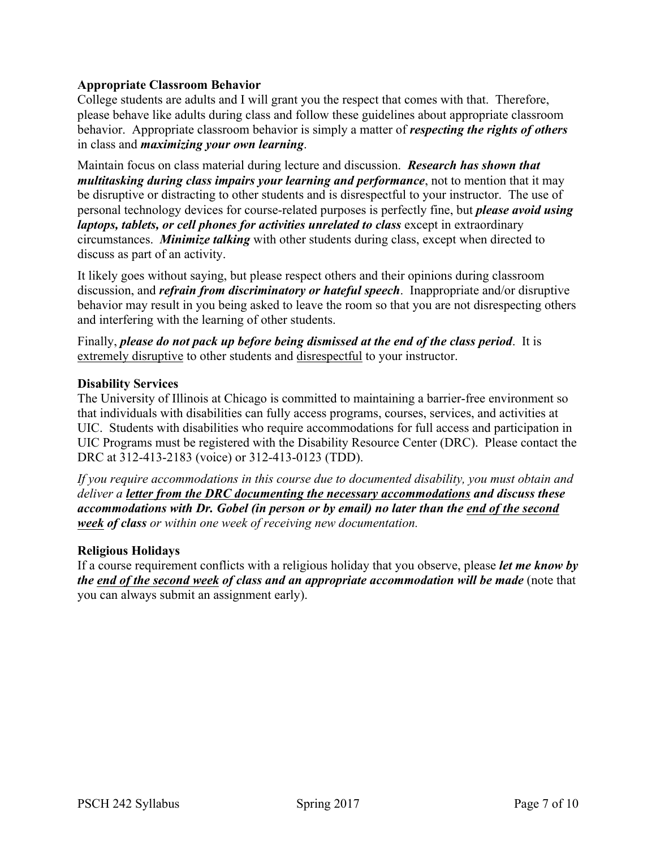# **Appropriate Classroom Behavior**

College students are adults and I will grant you the respect that comes with that. Therefore, please behave like adults during class and follow these guidelines about appropriate classroom behavior. Appropriate classroom behavior is simply a matter of *respecting the rights of others* in class and *maximizing your own learning*.

Maintain focus on class material during lecture and discussion. *Research has shown that multitasking during class impairs your learning and performance*, not to mention that it may be disruptive or distracting to other students and is disrespectful to your instructor. The use of personal technology devices for course-related purposes is perfectly fine, but *please avoid using laptops, tablets, or cell phones for activities unrelated to class* except in extraordinary circumstances. *Minimize talking* with other students during class, except when directed to discuss as part of an activity.

It likely goes without saying, but please respect others and their opinions during classroom discussion, and *refrain from discriminatory or hateful speech*. Inappropriate and/or disruptive behavior may result in you being asked to leave the room so that you are not disrespecting others and interfering with the learning of other students.

Finally, *please do not pack up before being dismissed at the end of the class period*. It is extremely disruptive to other students and disrespectful to your instructor.

#### **Disability Services**

The University of Illinois at Chicago is committed to maintaining a barrier-free environment so that individuals with disabilities can fully access programs, courses, services, and activities at UIC. Students with disabilities who require accommodations for full access and participation in UIC Programs must be registered with the Disability Resource Center (DRC). Please contact the DRC at 312-413-2183 (voice) or 312-413-0123 (TDD).

*If you require accommodations in this course due to documented disability, you must obtain and deliver a letter from the DRC documenting the necessary accommodations and discuss these accommodations with Dr. Gobel (in person or by email) no later than the end of the second week of class or within one week of receiving new documentation.*

#### **Religious Holidays**

If a course requirement conflicts with a religious holiday that you observe, please *let me know by the end of the second week of class and an appropriate accommodation will be made* (note that you can always submit an assignment early).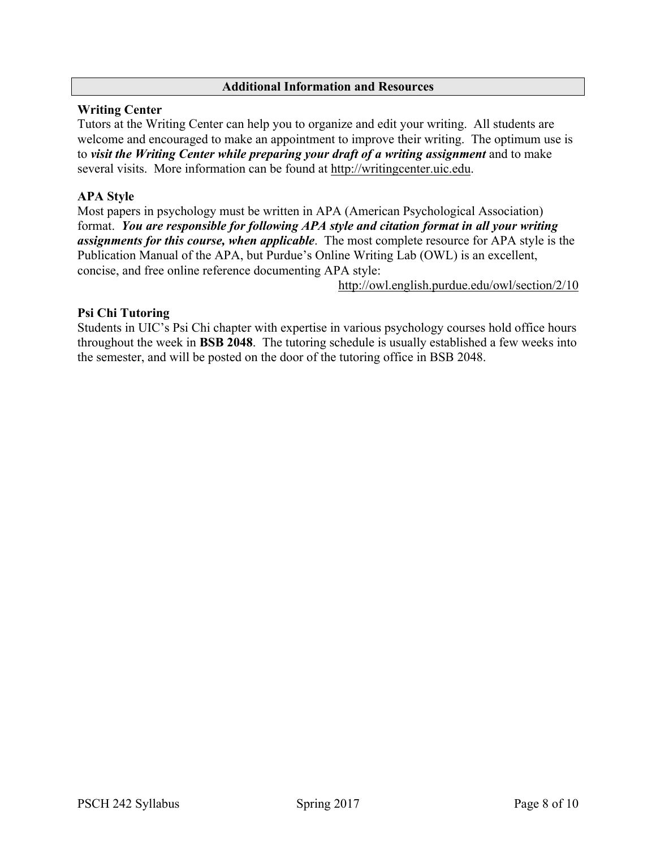### **Additional Information and Resources**

### **Writing Center**

Tutors at the Writing Center can help you to organize and edit your writing. All students are welcome and encouraged to make an appointment to improve their writing. The optimum use is to *visit the Writing Center while preparing your draft of a writing assignment* and to make several visits. More information can be found at http://writingcenter.uic.edu.

# **APA Style**

Most papers in psychology must be written in APA (American Psychological Association) format. *You are responsible for following APA style and citation format in all your writing assignments for this course, when applicable*. The most complete resource for APA style is the Publication Manual of the APA, but Purdue's Online Writing Lab (OWL) is an excellent, concise, and free online reference documenting APA style:

http://owl.english.purdue.edu/owl/section/2/10

### **Psi Chi Tutoring**

Students in UIC's Psi Chi chapter with expertise in various psychology courses hold office hours throughout the week in **BSB 2048**. The tutoring schedule is usually established a few weeks into the semester, and will be posted on the door of the tutoring office in BSB 2048.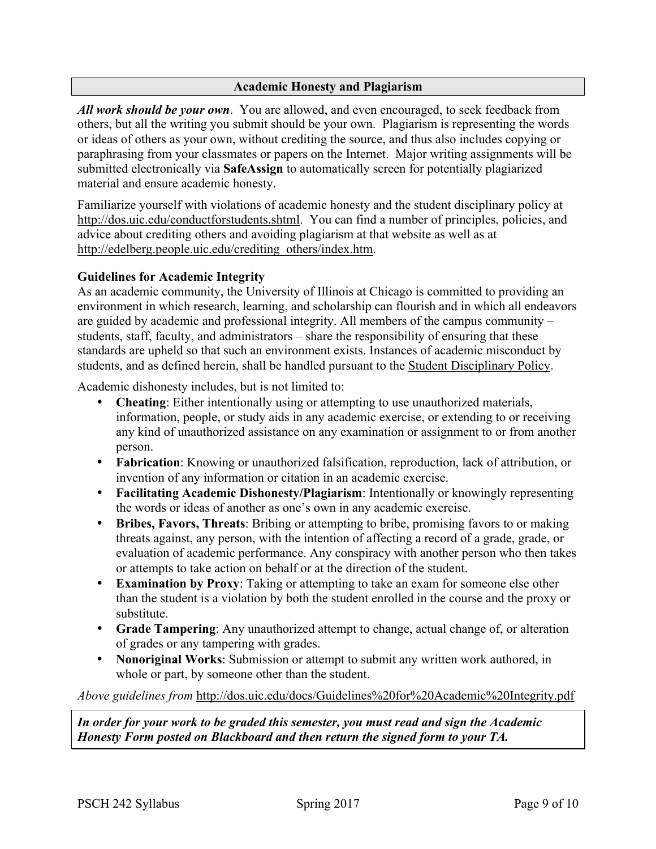### **Academic Honesty and Plagiarism**

*All work should be your own*. You are allowed, and even encouraged, to seek feedback from others, but all the writing you submit should be your own. Plagiarism is representing the words or ideas of others as your own, without crediting the source, and thus also includes copying or paraphrasing from your classmates or papers on the Internet. Major writing assignments will be submitted electronically via **SafeAssign** to automatically screen for potentially plagiarized material and ensure academic honesty.

Familiarize yourself with violations of academic honesty and the student disciplinary policy at http://dos.uic.edu/conductforstudents.shtml. You can find a number of principles, policies, and advice about crediting others and avoiding plagiarism at that website as well as at http://edelberg.people.uic.edu/crediting\_others/index.htm.

### **Guidelines for Academic Integrity**

As an academic community, the University of Illinois at Chicago is committed to providing an environment in which research, learning, and scholarship can flourish and in which all endeavors are guided by academic and professional integrity. All members of the campus community – students, staff, faculty, and administrators – share the responsibility of ensuring that these standards are upheld so that such an environment exists. Instances of academic misconduct by students, and as defined herein, shall be handled pursuant to the Student Disciplinary Policy.

Academic dishonesty includes, but is not limited to:

- **Cheating**: Either intentionally using or attempting to use unauthorized materials, information, people, or study aids in any academic exercise, or extending to or receiving any kind of unauthorized assistance on any examination or assignment to or from another person.
- **Fabrication**: Knowing or unauthorized falsification, reproduction, lack of attribution, or invention of any information or citation in an academic exercise.
- **Facilitating Academic Dishonesty/Plagiarism**: Intentionally or knowingly representing the words or ideas of another as one's own in any academic exercise.
- **Bribes, Favors, Threats**: Bribing or attempting to bribe, promising favors to or making threats against, any person, with the intention of affecting a record of a grade, grade, or evaluation of academic performance. Any conspiracy with another person who then takes or attempts to take action on behalf or at the direction of the student.
- **Examination by Proxy**: Taking or attempting to take an exam for someone else other than the student is a violation by both the student enrolled in the course and the proxy or substitute.
- **Grade Tampering**: Any unauthorized attempt to change, actual change of, or alteration of grades or any tampering with grades.
- **Nonoriginal Works**: Submission or attempt to submit any written work authored, in whole or part, by someone other than the student.

*Above guidelines from* http://dos.uic.edu/docs/Guidelines%20for%20Academic%20Integrity.pdf

*In order for your work to be graded this semester, you must read and sign the Academic Honesty Form posted on Blackboard and then return the signed form to your TA.*